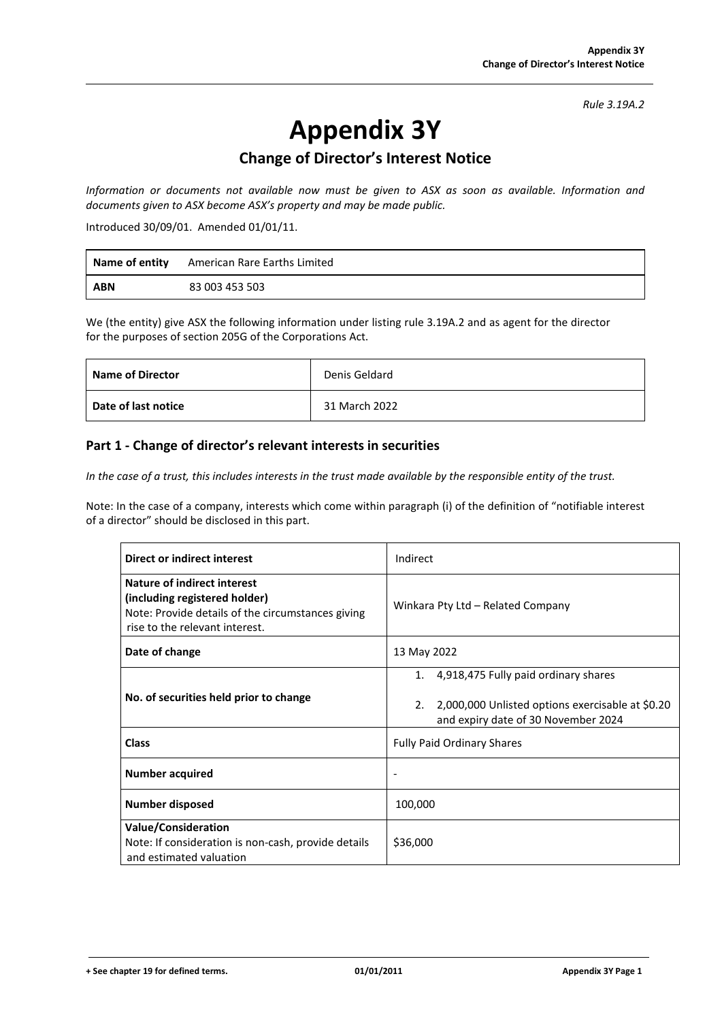*Rule 3.19A.2*

# **Appendix 3Y**

## **Change of Director's Interest Notice**

*Information or documents not available now must be given to ASX as soon as available. Information and documents given to ASX become ASX's property and may be made public.*

Introduced 30/09/01. Amended 01/01/11.

| Name of entity | American Rare Earths Limited |
|----------------|------------------------------|
| <b>ABN</b>     | 83 003 453 503               |

We (the entity) give ASX the following information under listing rule 3.19A.2 and as agent for the director for the purposes of section 205G of the Corporations Act.

| <b>Name of Director</b> | Denis Geldard |
|-------------------------|---------------|
| Date of last notice     | 31 March 2022 |

#### **Part 1 - Change of director's relevant interests in securities**

In the case of a trust, this includes interests in the trust made available by the responsible entity of the trust.

Note: In the case of a company, interests which come within paragraph (i) of the definition of "notifiable interest of a director" should be disclosed in this part.

| Direct or indirect interest                                                                                                                                | Indirect                                                                                                                                    |
|------------------------------------------------------------------------------------------------------------------------------------------------------------|---------------------------------------------------------------------------------------------------------------------------------------------|
| <b>Nature of indirect interest</b><br>(including registered holder)<br>Note: Provide details of the circumstances giving<br>rise to the relevant interest. | Winkara Pty Ltd - Related Company                                                                                                           |
| Date of change                                                                                                                                             | 13 May 2022                                                                                                                                 |
| No. of securities held prior to change                                                                                                                     | 4,918,475 Fully paid ordinary shares<br>1.<br>2,000,000 Unlisted options exercisable at \$0.20<br>2.<br>and expiry date of 30 November 2024 |
| <b>Class</b>                                                                                                                                               | <b>Fully Paid Ordinary Shares</b>                                                                                                           |
| <b>Number acquired</b>                                                                                                                                     | $\overline{\phantom{a}}$                                                                                                                    |
| <b>Number disposed</b>                                                                                                                                     | 100,000                                                                                                                                     |
| Value/Consideration<br>Note: If consideration is non-cash, provide details<br>and estimated valuation                                                      | \$36,000                                                                                                                                    |

**+ See chapter 19 for defined terms. 01/01/2011 Appendix 3Y Page 1**